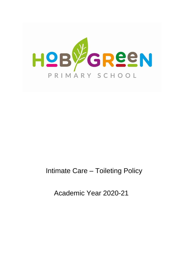

## Intimate Care – Toileting Policy

Academic Year 2020-21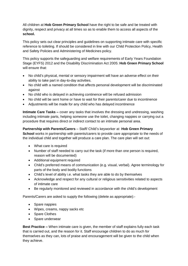All children at **Hob Green Primary School** have the right to be safe and be treated with dignity, respect and privacy at all times so as to enable them to access all aspects of the **school.**

This policy sets out clear principles and guidelines on supporting intimate care with specific reference to toileting. If should be considered in line with our Child Protection Policy, Health and Safety Policies and Administering of Medicines policy.

This policy supports the safeguarding and welfare requirements of Early Years Foundation Stage (EYFS) 2012 and the Disability Discrimination Act 2005: **Hob Green Primary School** will ensure that:

- No child's physical, mental or sensory impairment will have an adverse effect on their ability to take part in day-to-day activities.
- No child with a named condition that affects personal development will be discriminated against
- No child who is delayed in achieving continence will be refused admission
- No child will be sent home or have to wait for their parents/carer due to incontinence
- Adjustments will be made for any child who has delayed incontinence

**Intimate Care Tasks –** cover any tasks that involves the dressing and undressing, washing including intimate parts, helping someone use the toilet, changing nappies or carrying out a procedure that requires direct or indirect contact to an intimate personal area.

**Partnership with Parents/Carers** – Staff/ Child's keyworker at **Hob Green Primary School** works in partnership with parents/carers to provide care appropriate to the needs of the individual child and together will produce a care plan. The care plan will set out:

- What care is required
- Number of staff needed to carry out the task (if more than one person is required, reason will be documented)
- Additional equipment required
- Child's preferred means of communication (e.g. visual, verbal). Agree terminology for parts of the body and bodily functions
- Child's level of ability i.e. what tasks they are able to do by themselves
- Acknowledge and respect for any cultural or religious sensitivities related to aspects of intimate care
- Be regularly monitored and reviewed in accordance with the child's development

Parents/Carers are asked to supply the following (delete as appropriate):-

- Spare nappies
- Wipes, creams, nappy sacks etc
- Spare Clothes
- Spare underwear

**Best Practice –** When intimate care is given, the member of staff explains fully each task that is carried out, and the reason for it. Staff encourage children to do as much for themselves as they can, lots of praise and encouragement will be given to the child when they achieve.